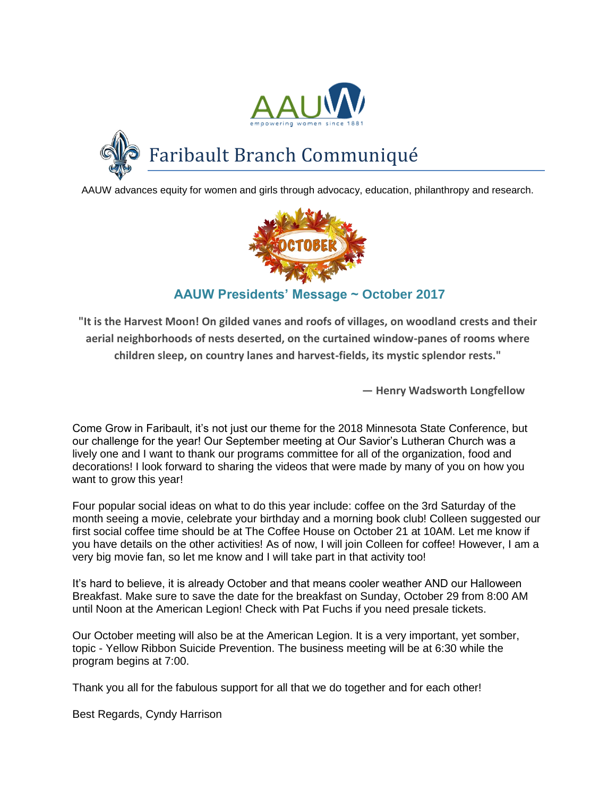



Faribault Branch Communiqué

AAUW advances equity for women and girls through advocacy, education, philanthropy and research.



## **AAUW Presidents' Message ~ October 2017**

**"It is the Harvest Moon! On gilded vanes and roofs of villages, on woodland crests and their aerial neighborhoods of nests deserted, on the curtained window-panes of rooms where children sleep, on country lanes and harvest-fields, its mystic splendor rests."**

**— Henry Wadsworth Longfellow**

Come Grow in Faribault, it's not just our theme for the 2018 Minnesota State Conference, but our challenge for the year! Our September meeting at Our Savior's Lutheran Church was a lively one and I want to thank our programs committee for all of the organization, food and decorations! I look forward to sharing the videos that were made by many of you on how you want to grow this year!

Four popular social ideas on what to do this year include: coffee on the 3rd Saturday of the month seeing a movie, celebrate your birthday and a morning book club! Colleen suggested our first social coffee time should be at The Coffee House on October 21 at 10AM. Let me know if you have details on the other activities! As of now, I will join Colleen for coffee! However, I am a very big movie fan, so let me know and I will take part in that activity too!

It's hard to believe, it is already October and that means cooler weather AND our Halloween Breakfast. Make sure to save the date for the breakfast on Sunday, October 29 from 8:00 AM until Noon at the American Legion! Check with Pat Fuchs if you need presale tickets.

Our October meeting will also be at the American Legion. It is a very important, yet somber, topic - Yellow Ribbon Suicide Prevention. The business meeting will be at 6:30 while the program begins at 7:00.

Thank you all for the fabulous support for all that we do together and for each other!

Best Regards, Cyndy Harrison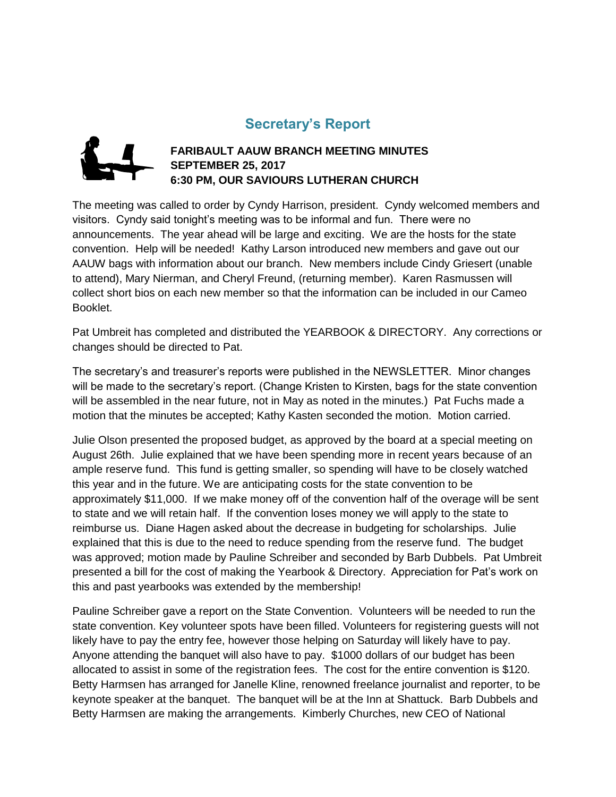## **Secretary's Report**



#### **FARIBAULT AAUW BRANCH MEETING MINUTES SEPTEMBER 25, 2017 6:30 PM, OUR SAVIOURS LUTHERAN CHURCH**

The meeting was called to order by Cyndy Harrison, president. Cyndy welcomed members and visitors. Cyndy said tonight's meeting was to be informal and fun. There were no announcements. The year ahead will be large and exciting. We are the hosts for the state convention. Help will be needed! Kathy Larson introduced new members and gave out our AAUW bags with information about our branch. New members include Cindy Griesert (unable to attend), Mary Nierman, and Cheryl Freund, (returning member). Karen Rasmussen will collect short bios on each new member so that the information can be included in our Cameo Booklet.

Pat Umbreit has completed and distributed the YEARBOOK & DIRECTORY. Any corrections or changes should be directed to Pat.

The secretary's and treasurer's reports were published in the NEWSLETTER. Minor changes will be made to the secretary's report. (Change Kristen to Kirsten, bags for the state convention will be assembled in the near future, not in May as noted in the minutes.) Pat Fuchs made a motion that the minutes be accepted; Kathy Kasten seconded the motion. Motion carried.

Julie Olson presented the proposed budget, as approved by the board at a special meeting on August 26th. Julie explained that we have been spending more in recent years because of an ample reserve fund. This fund is getting smaller, so spending will have to be closely watched this year and in the future. We are anticipating costs for the state convention to be approximately \$11,000. If we make money off of the convention half of the overage will be sent to state and we will retain half. If the convention loses money we will apply to the state to reimburse us. Diane Hagen asked about the decrease in budgeting for scholarships. Julie explained that this is due to the need to reduce spending from the reserve fund. The budget was approved; motion made by Pauline Schreiber and seconded by Barb Dubbels. Pat Umbreit presented a bill for the cost of making the Yearbook & Directory. Appreciation for Pat's work on this and past yearbooks was extended by the membership!

Pauline Schreiber gave a report on the State Convention. Volunteers will be needed to run the state convention. Key volunteer spots have been filled. Volunteers for registering guests will not likely have to pay the entry fee, however those helping on Saturday will likely have to pay. Anyone attending the banquet will also have to pay. \$1000 dollars of our budget has been allocated to assist in some of the registration fees. The cost for the entire convention is \$120. Betty Harmsen has arranged for Janelle Kline, renowned freelance journalist and reporter, to be keynote speaker at the banquet. The banquet will be at the Inn at Shattuck. Barb Dubbels and Betty Harmsen are making the arrangements. Kimberly Churches, new CEO of National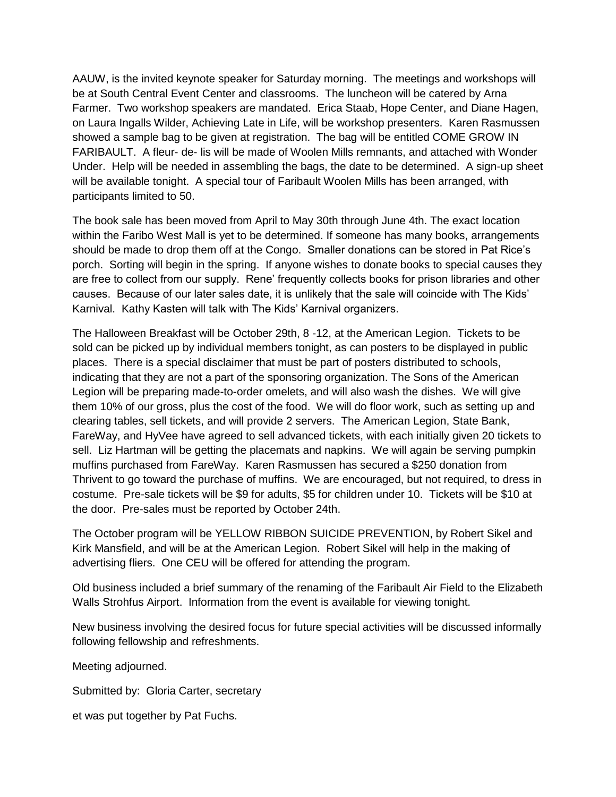AAUW, is the invited keynote speaker for Saturday morning. The meetings and workshops will be at South Central Event Center and classrooms. The luncheon will be catered by Arna Farmer. Two workshop speakers are mandated. Erica Staab, Hope Center, and Diane Hagen, on Laura Ingalls Wilder, Achieving Late in Life, will be workshop presenters. Karen Rasmussen showed a sample bag to be given at registration. The bag will be entitled COME GROW IN FARIBAULT. A fleur- de- lis will be made of Woolen Mills remnants, and attached with Wonder Under. Help will be needed in assembling the bags, the date to be determined. A sign-up sheet will be available tonight. A special tour of Faribault Woolen Mills has been arranged, with participants limited to 50.

The book sale has been moved from April to May 30th through June 4th. The exact location within the Faribo West Mall is yet to be determined. If someone has many books, arrangements should be made to drop them off at the Congo. Smaller donations can be stored in Pat Rice's porch. Sorting will begin in the spring. If anyone wishes to donate books to special causes they are free to collect from our supply. Rene' frequently collects books for prison libraries and other causes. Because of our later sales date, it is unlikely that the sale will coincide with The Kids' Karnival. Kathy Kasten will talk with The Kids' Karnival organizers.

The Halloween Breakfast will be October 29th, 8 -12, at the American Legion. Tickets to be sold can be picked up by individual members tonight, as can posters to be displayed in public places. There is a special disclaimer that must be part of posters distributed to schools, indicating that they are not a part of the sponsoring organization. The Sons of the American Legion will be preparing made-to-order omelets, and will also wash the dishes. We will give them 10% of our gross, plus the cost of the food. We will do floor work, such as setting up and clearing tables, sell tickets, and will provide 2 servers. The American Legion, State Bank, FareWay, and HyVee have agreed to sell advanced tickets, with each initially given 20 tickets to sell. Liz Hartman will be getting the placemats and napkins. We will again be serving pumpkin muffins purchased from FareWay. Karen Rasmussen has secured a \$250 donation from Thrivent to go toward the purchase of muffins. We are encouraged, but not required, to dress in costume. Pre-sale tickets will be \$9 for adults, \$5 for children under 10. Tickets will be \$10 at the door. Pre-sales must be reported by October 24th.

The October program will be YELLOW RIBBON SUICIDE PREVENTION, by Robert Sikel and Kirk Mansfield, and will be at the American Legion. Robert Sikel will help in the making of advertising fliers. One CEU will be offered for attending the program.

Old business included a brief summary of the renaming of the Faribault Air Field to the Elizabeth Walls Strohfus Airport. Information from the event is available for viewing tonight.

New business involving the desired focus for future special activities will be discussed informally following fellowship and refreshments.

Meeting adjourned.

Submitted by: Gloria Carter, secretary

et was put together by Pat Fuchs.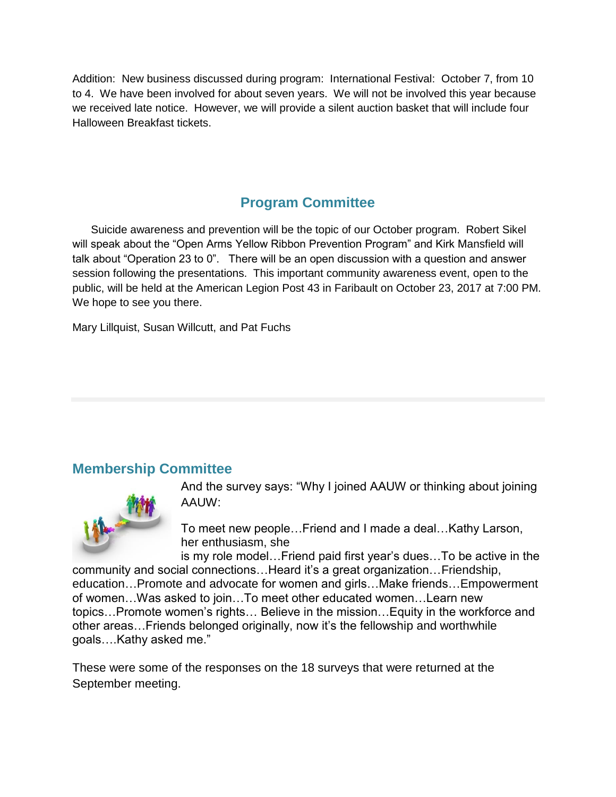Addition: New business discussed during program: International Festival: October 7, from 10 to 4. We have been involved for about seven years. We will not be involved this year because we received late notice. However, we will provide a silent auction basket that will include four Halloween Breakfast tickets.

# **Program Committee**

 Suicide awareness and prevention will be the topic of our October program. Robert Sikel will speak about the "Open Arms Yellow Ribbon Prevention Program" and Kirk Mansfield will talk about "Operation 23 to 0". There will be an open discussion with a question and answer session following the presentations. This important community awareness event, open to the public, will be held at the American Legion Post 43 in Faribault on October 23, 2017 at 7:00 PM. We hope to see you there.

Mary Lillquist, Susan Willcutt, and Pat Fuchs

### **Membership Committee**



And the survey says: "Why I joined AAUW or thinking about joining AAUW:

To meet new people…Friend and I made a deal…Kathy Larson, her enthusiasm, she

is my role model…Friend paid first year's dues…To be active in the community and social connections…Heard it's a great organization…Friendship, education…Promote and advocate for women and girls…Make friends…Empowerment of women…Was asked to join…To meet other educated women…Learn new topics…Promote women's rights… Believe in the mission…Equity in the workforce and other areas…Friends belonged originally, now it's the fellowship and worthwhile goals….Kathy asked me."

These were some of the responses on the 18 surveys that were returned at the September meeting.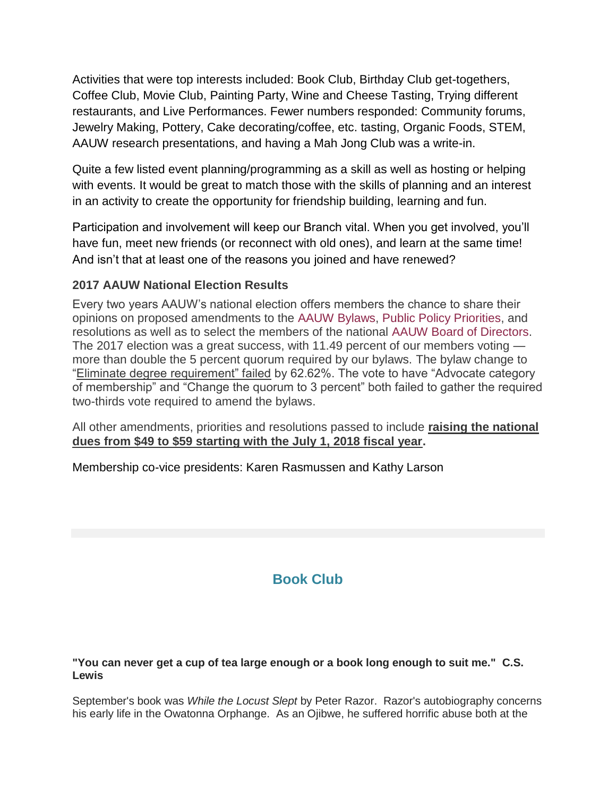Activities that were top interests included: Book Club, Birthday Club get-togethers, Coffee Club, Movie Club, Painting Party, Wine and Cheese Tasting, Trying different restaurants, and Live Performances. Fewer numbers responded: Community forums, Jewelry Making, Pottery, Cake decorating/coffee, etc. tasting, Organic Foods, STEM, AAUW research presentations, and having a Mah Jong Club was a write-in.

Quite a few listed event planning/programming as a skill as well as hosting or helping with events. It would be great to match those with the skills of planning and an interest in an activity to create the opportunity for friendship building, learning and fun.

Participation and involvement will keep our Branch vital. When you get involved, you'll have fun, meet new friends (or reconnect with old ones), and learn at the same time! And isn't that at least one of the reasons you joined and have renewed?

#### **2017 AAUW National Election Results**

Every two years AAUW's national election offers members the chance to share their opinions on proposed amendments to the [AAUW Bylaws,](http://www.aauw.org/resource/2017-aauw-bylaws/) [Public Policy Priorities,](http://www.aauw.org/resource/principles-and-priorities/) and resolutions as well as to select the members of the national [AAUW Board of Directors.](http://www.aauw.org/who-we-are/leadership-and-staff/board-of-directors/) The 2017 election was a great success, with 11.49 percent of our members voting more than double the 5 percent quorum required by our bylaws. The bylaw change to "Eliminate degree requirement" failed by 62.62%. The vote to have "Advocate category of membership" and "Change the quorum to 3 percent" both failed to gather the required two-thirds vote required to amend the bylaws.

All other amendments, priorities and resolutions passed to include **raising the national dues from \$49 to \$59 starting with the July 1, 2018 fiscal year.**

Membership co-vice presidents: Karen Rasmussen and Kathy Larson

# **Book Club**

#### **"You can never get a cup of tea large enough or a book long enough to suit me." C.S. Lewis**

September's book was *While the Locust Slept* by Peter Razor. Razor's autobiography concerns his early life in the Owatonna Orphange. As an Ojibwe, he suffered horrific abuse both at the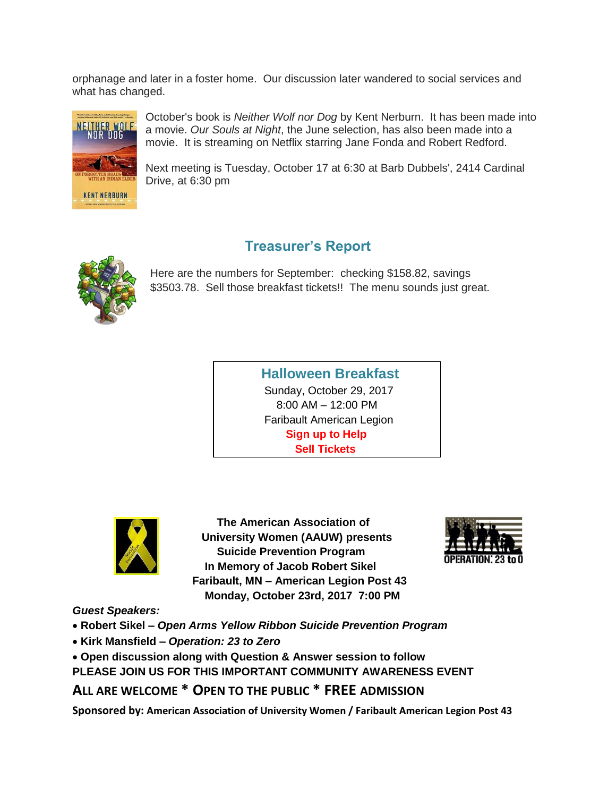orphanage and later in a foster home. Our discussion later wandered to social services and what has changed.



October's book is *Neither Wolf nor Dog* by Kent Nerburn. It has been made into a movie. *Our Souls at Night*, the June selection, has also been made into a movie. It is streaming on Netflix starring Jane Fonda and Robert Redford.

Next meeting is Tuesday, October 17 at 6:30 at Barb Dubbels', 2414 Cardinal Drive, at 6:30 pm

# **Treasurer's Report**



Here are the numbers for September: checking \$158.82, savings \$3503.78. Sell those breakfast tickets!! The menu sounds just great.

> **Halloween Breakfast** Sunday, October 29, 2017 8:00 AM – 12:00 PM Faribault American Legion  **Sign up to Help Sell Tickets**



 **The American Association of University Women (AAUW) presents Suicide Prevention Program In Memory of Jacob Robert Sikel Faribault, MN – American Legion Post 43 Monday, October 23rd, 2017 7:00 PM**



*Guest Speakers:*

**Robert Sikel –** *Open Arms Yellow Ribbon Suicide Prevention Program*

- **Kirk Mansfield –** *Operation: 23 to Zero*
- **Open discussion along with Question & Answer session to follow**

**PLEASE JOIN US FOR THIS IMPORTANT COMMUNITY AWARENESS EVENT**

**ALL ARE WELCOME \* OPEN TO THE PUBLIC \* FREE ADMISSION**

**Sponsored by: American Association of University Women / Faribault American Legion Post 43**